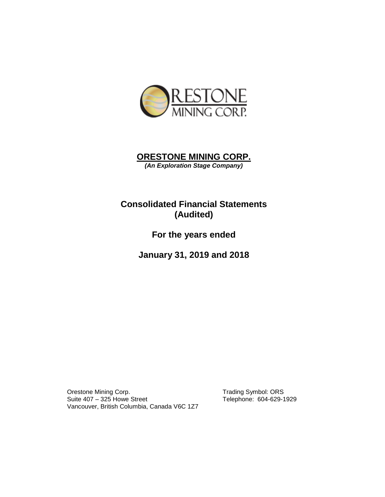

# **ORESTONE MINING CORP.** *(An Exploration Stage Company)*

# **Consolidated Financial Statements (Audited)**

**For the years ended**

**January 31, 2019 and 2018**

Orestone Mining Corp.<br>
Suite 407 – 325 Howe Street<br>
Telephone: 604-629-1929 Suite  $407 - 325$  Howe Street Vancouver, British Columbia, Canada V6C 1Z7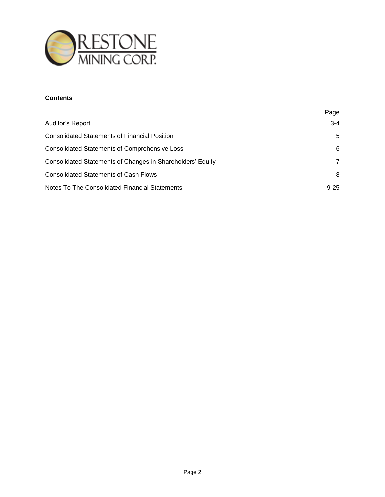

# **Contents**

|                                                            | Page           |
|------------------------------------------------------------|----------------|
| Auditor's Report                                           | $3 - 4$        |
| <b>Consolidated Statements of Financial Position</b>       | 5              |
| <b>Consolidated Statements of Comprehensive Loss</b>       | 6              |
| Consolidated Statements of Changes in Shareholders' Equity | $\overline{7}$ |
| <b>Consolidated Statements of Cash Flows</b>               | 8              |
| Notes To The Consolidated Financial Statements             | $9 - 25$       |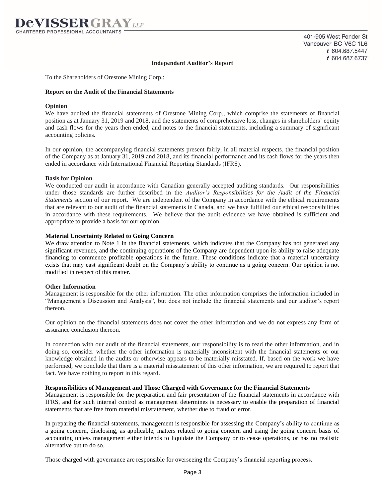#### **Independent Auditor's Report**

To the Shareholders of Orestone Mining Corp.:

#### **Report on the Audit of the Financial Statements**

#### **Opinion**

We have audited the financial statements of Orestone Mining Corp., which comprise the statements of financial position as at January 31, 2019 and 2018, and the statements of comprehensive loss, changes in shareholders' equity and cash flows for the years then ended, and notes to the financial statements, including a summary of significant accounting policies.

In our opinion, the accompanying financial statements present fairly, in all material respects, the financial position of the Company as at January 31, 2019 and 2018, and its financial performance and its cash flows for the years then ended in accordance with International Financial Reporting Standards (IFRS).

#### **Basis for Opinion**

We conducted our audit in accordance with Canadian generally accepted auditing standards. Our responsibilities under those standards are further described in the *Auditor's Responsibilities for the Audit of the Financial Statements* section of our report. We are independent of the Company in accordance with the ethical requirements that are relevant to our audit of the financial statements in Canada, and we have fulfilled our ethical responsibilities in accordance with these requirements. We believe that the audit evidence we have obtained is sufficient and appropriate to provide a basis for our opinion.

#### **Material Uncertainty Related to Going Concern**

We draw attention to Note 1 in the financial statements, which indicates that the Company has not generated any significant revenues, and the continuing operations of the Company are dependent upon its ability to raise adequate financing to commence profitable operations in the future. These conditions indicate that a material uncertainty exists that may cast significant doubt on the Company's ability to continue as a going concern. Our opinion is not modified in respect of this matter.

#### **Other Information**

Management is responsible for the other information. The other information comprises the information included in "Management's Discussion and Analysis", but does not include the financial statements and our auditor's report thereon.

Our opinion on the financial statements does not cover the other information and we do not express any form of assurance conclusion thereon.

In connection with our audit of the financial statements, our responsibility is to read the other information, and in doing so, consider whether the other information is materially inconsistent with the financial statements or our knowledge obtained in the audits or otherwise appears to be materially misstated. If, based on the work we have performed, we conclude that there is a material misstatement of this other information, we are required to report that fact. We have nothing to report in this regard.

#### **Responsibilities of Management and Those Charged with Governance for the Financial Statements**

Management is responsible for the preparation and fair presentation of the financial statements in accordance with IFRS, and for such internal control as management determines is necessary to enable the preparation of financial statements that are free from material misstatement, whether due to fraud or error.

In preparing the financial statements, management is responsible for assessing the Company's ability to continue as a going concern, disclosing, as applicable, matters related to going concern and using the going concern basis of accounting unless management either intends to liquidate the Company or to cease operations, or has no realistic alternative but to do so.

Those charged with governance are responsible for overseeing the Company's financial reporting process.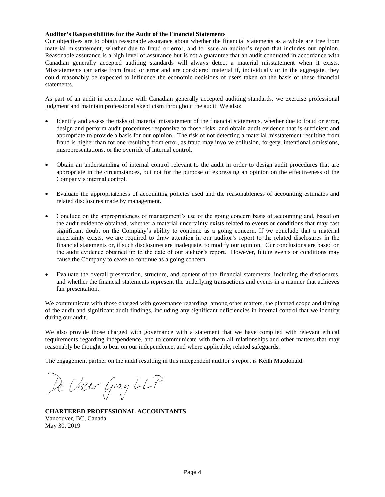#### **Auditor's Responsibilities for the Audit of the Financial Statements**

Our objectives are to obtain reasonable assurance about whether the financial statements as a whole are free from material misstatement, whether due to fraud or error, and to issue an auditor's report that includes our opinion. Reasonable assurance is a high level of assurance but is not a guarantee that an audit conducted in accordance with Canadian generally accepted auditing standards will always detect a material misstatement when it exists. Misstatements can arise from fraud or error and are considered material if, individually or in the aggregate, they could reasonably be expected to influence the economic decisions of users taken on the basis of these financial statements.

As part of an audit in accordance with Canadian generally accepted auditing standards, we exercise professional judgment and maintain professional skepticism throughout the audit. We also:

- Identify and assess the risks of material misstatement of the financial statements, whether due to fraud or error, design and perform audit procedures responsive to those risks, and obtain audit evidence that is sufficient and appropriate to provide a basis for our opinion. The risk of not detecting a material misstatement resulting from fraud is higher than for one resulting from error, as fraud may involve collusion, forgery, intentional omissions, misrepresentations, or the override of internal control.
- Obtain an understanding of internal control relevant to the audit in order to design audit procedures that are appropriate in the circumstances, but not for the purpose of expressing an opinion on the effectiveness of the Company's internal control.
- Evaluate the appropriateness of accounting policies used and the reasonableness of accounting estimates and related disclosures made by management.
- Conclude on the appropriateness of management's use of the going concern basis of accounting and, based on the audit evidence obtained, whether a material uncertainty exists related to events or conditions that may cast significant doubt on the Company's ability to continue as a going concern. If we conclude that a material uncertainty exists, we are required to draw attention in our auditor's report to the related disclosures in the financial statements or, if such disclosures are inadequate, to modify our opinion. Our conclusions are based on the audit evidence obtained up to the date of our auditor's report. However, future events or conditions may cause the Company to cease to continue as a going concern.
- Evaluate the overall presentation, structure, and content of the financial statements, including the disclosures, and whether the financial statements represent the underlying transactions and events in a manner that achieves fair presentation.

We communicate with those charged with governance regarding, among other matters, the planned scope and timing of the audit and significant audit findings, including any significant deficiencies in internal control that we identify during our audit.

We also provide those charged with governance with a statement that we have complied with relevant ethical requirements regarding independence, and to communicate with them all relationships and other matters that may reasonably be thought to bear on our independence, and where applicable, related safeguards.

The engagement partner on the audit resulting in this independent auditor's report is Keith Macdonald.

De Visser Gray LLP

**CHARTERED PROFESSIONAL ACCOUNTANTS**  Vancouver, BC, Canada May 30, 2019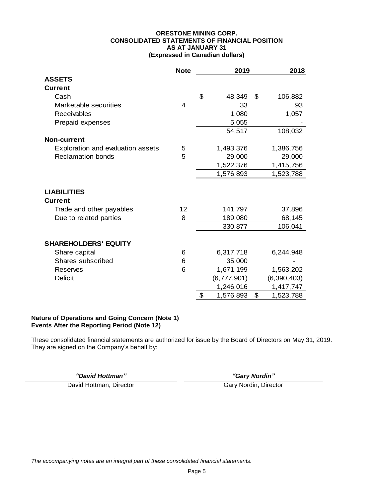#### **ORESTONE MINING CORP. CONSOLIDATED STATEMENTS OF FINANCIAL POSITION AS AT JANUARY 31 (Expressed in Canadian dollars)**

|                                   | <b>Note</b> | 2019 |             |    | 2018          |  |
|-----------------------------------|-------------|------|-------------|----|---------------|--|
| <b>ASSETS</b>                     |             |      |             |    |               |  |
| <b>Current</b>                    |             |      |             |    |               |  |
| Cash                              |             | \$   | 48,349      | \$ | 106,882       |  |
| Marketable securities             | 4           |      | 33          |    | 93            |  |
| Receivables                       |             |      | 1,080       |    | 1,057         |  |
| Prepaid expenses                  |             |      | 5,055       |    |               |  |
|                                   |             |      | 54,517      |    | 108,032       |  |
| <b>Non-current</b>                |             |      |             |    |               |  |
| Exploration and evaluation assets | 5           |      | 1,493,376   |    | 1,386,756     |  |
| <b>Reclamation bonds</b>          | 5           |      | 29,000      |    | 29,000        |  |
|                                   |             |      | 1,522,376   |    | 1,415,756     |  |
|                                   |             |      | 1,576,893   |    | 1,523,788     |  |
|                                   |             |      |             |    |               |  |
| <b>LIABILITIES</b>                |             |      |             |    |               |  |
| <b>Current</b>                    |             |      |             |    |               |  |
| Trade and other payables          | 12          |      | 141,797     |    | 37,896        |  |
| Due to related parties            | 8           |      | 189,080     |    | 68,145        |  |
|                                   |             |      | 330,877     |    | 106,041       |  |
|                                   |             |      |             |    |               |  |
| <b>SHAREHOLDERS' EQUITY</b>       |             |      |             |    |               |  |
| Share capital                     | 6           |      | 6,317,718   |    | 6,244,948     |  |
| Shares subscribed                 | 6           |      | 35,000      |    |               |  |
| <b>Reserves</b>                   | 6           |      | 1,671,199   |    | 1,563,202     |  |
| <b>Deficit</b>                    |             |      | (6,777,901) |    | (6, 390, 403) |  |
|                                   |             |      | 1,246,016   |    | 1,417,747     |  |
|                                   |             | \$   | 1,576,893   | \$ | 1,523,788     |  |

### **Nature of Operations and Going Concern (Note 1) Events After the Reporting Period (Note 12)**

These consolidated financial statements are authorized for issue by the Board of Directors on May 31, 2019. They are signed on the Company's behalf by:

*"David Hottman" "Gary Nordin"*

David Hottman, Director Gary Nordin, Director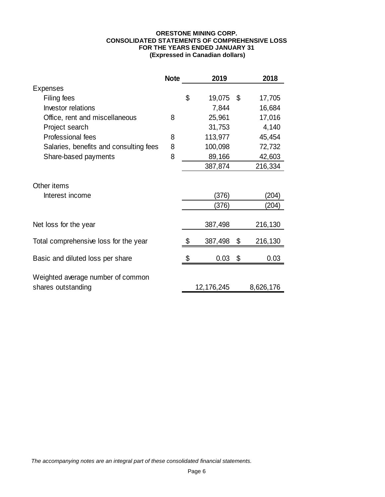### **ORESTONE MINING CORP. CONSOLIDATED STATEMENTS OF COMPREHENSIVE LOSS FOR THE YEARS ENDED JANUARY 31 (Expressed in Canadian dollars)**

|                                        | <b>Note</b> | 2019          | 2018          |
|----------------------------------------|-------------|---------------|---------------|
| <b>Expenses</b>                        |             |               |               |
| Filing fees                            |             | \$<br>19,075  | \$<br>17,705  |
| Investor relations                     |             | 7,844         | 16,684        |
| Office, rent and miscellaneous         | 8           | 25,961        | 17,016        |
| Project search                         |             | 31,753        | 4,140         |
| Professional fees                      | 8           | 113,977       | 45,454        |
| Salaries, benefits and consulting fees | 8           | 100,098       | 72,732        |
| Share-based payments                   | 8           | 89,166        | 42,603        |
|                                        |             | 387,874       | 216,334       |
|                                        |             |               |               |
| Other items                            |             |               |               |
| Interest income                        |             | (376)         | (204)         |
|                                        |             | (376)         | (204)         |
|                                        |             |               |               |
| Net loss for the year                  |             | 387,498       | 216,130       |
| Total comprehensive loss for the year  |             | \$<br>387,498 | \$<br>216,130 |
| Basic and diluted loss per share       |             | 0.03          | \$<br>0.03    |
| Weighted average number of common      |             |               |               |
| shares outstanding                     |             | 12,176,245    | 8,626,176     |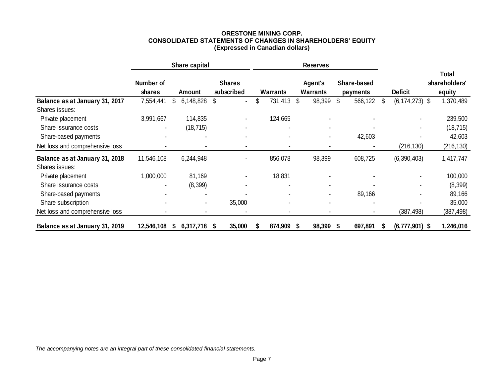## **ORESTONE MINING CORP. CONSOLIDATED STATEMENTS OF CHANGES IN SHAREHOLDERS' EQUITY (Expressed in Canadian dollars)**

|                                                  |                     | Share capital      |                             | <b>Reserves</b> |                 |    |                     |                         |    |                    |                                  |
|--------------------------------------------------|---------------------|--------------------|-----------------------------|-----------------|-----------------|----|---------------------|-------------------------|----|--------------------|----------------------------------|
|                                                  | Number of<br>shares | Amount             | <b>Shares</b><br>subscribed |                 | <b>Warrants</b> |    | Agent's<br>Warrants | Share-based<br>payments |    | <b>Deficit</b>     | Total<br>shareholders'<br>equity |
| Balance as at January 31, 2017                   | 7,554,441           | 6,148,828<br>\$    | \$<br>$\blacksquare$        | \$              | 731,413         | \$ | 98,399              | 566,122<br>\$           | \$ | $(6, 174, 273)$ \$ | 1,370,489                        |
| Shares issues:                                   |                     |                    |                             |                 |                 |    |                     |                         |    |                    |                                  |
| Private placement                                | 3,991,667           | 114,835            |                             |                 | 124,665         |    |                     |                         |    |                    | 239,500                          |
| Share issurance costs                            |                     | (18, 715)          |                             |                 |                 |    |                     |                         |    |                    | (18, 715)                        |
| Share-based payments                             | $\blacksquare$      |                    |                             |                 |                 |    | $\blacksquare$      | 42,603                  |    |                    | 42,603                           |
| Net loss and comprehensive loss                  |                     |                    |                             |                 |                 |    |                     |                         |    | (216, 130)         | (216, 130)                       |
| Balance as at January 31, 2018<br>Shares issues: | 11,546,108          | 6,244,948          |                             |                 | 856,078         |    | 98,399              | 608,725                 |    | (6,390,403)        | 1,417,747                        |
| Private placement                                | ,000,000            | 81,169             |                             |                 | 18,831          |    |                     |                         |    |                    | 100,000                          |
| Share issurance costs                            |                     | (8, 399)           |                             |                 |                 |    |                     |                         |    |                    | (8, 399)                         |
| Share-based payments                             |                     |                    |                             |                 |                 |    |                     | 89,166                  |    |                    | 89,166                           |
| Share subscription                               |                     | $\blacksquare$     | 35,000                      |                 |                 |    |                     |                         |    |                    | 35,000                           |
| Net loss and comprehensive loss                  |                     |                    |                             |                 |                 |    |                     | $\blacksquare$          |    | (387, 498)         | (387, 498)                       |
| Balance as at January 31, 2019                   | 12,546,108          | 6,317,718 \$<br>æ. | 35,000                      |                 | 874,909         | Ъ. | 98,399              | 697,891<br>- 5          | ъ  | $(6,777,901)$ \$   | 1,246,016                        |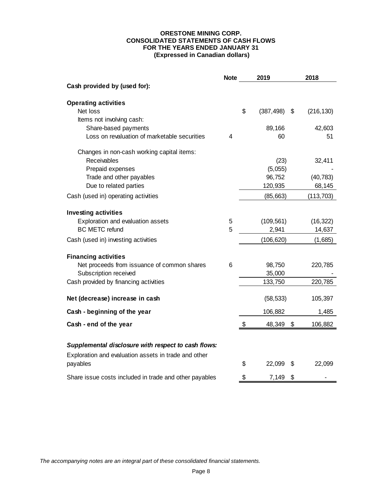#### **ORESTONE MINING CORP. CONSOLIDATED STATEMENTS OF CASH FLOWS FOR THE YEARS ENDED JANUARY 31 (Expressed in Canadian dollars)**

|                                                                  | <b>Note</b> | 2019              |                           | 2018                 |
|------------------------------------------------------------------|-------------|-------------------|---------------------------|----------------------|
| Cash provided by (used for):                                     |             |                   |                           |                      |
| <b>Operating activities</b>                                      |             |                   |                           |                      |
| Net loss                                                         |             | \$<br>(387, 498)  | \$                        | (216, 130)           |
| Items not involving cash:                                        |             |                   |                           |                      |
| Share-based payments                                             |             | 89,166            |                           | 42,603               |
| Loss on revaluation of marketable securities                     | 4           | 60                |                           | 51                   |
| Changes in non-cash working capital items:                       |             |                   |                           |                      |
| Receivables                                                      |             | (23)              |                           | 32,411               |
| Prepaid expenses                                                 |             | (5,055)           |                           |                      |
| Trade and other payables<br>Due to related parties               |             | 96,752<br>120,935 |                           | (40, 783)            |
| Cash (used in) operating activities                              |             | (85, 663)         |                           | 68,145<br>(113, 703) |
|                                                                  |             |                   |                           |                      |
| <b>Investing activities</b>                                      |             |                   |                           |                      |
| Exploration and evaluation assets                                | 5           | (109, 561)        |                           | (16, 322)            |
| <b>BC METC refund</b>                                            | 5           | 2,941             |                           | 14,637               |
| Cash (used in) investing activities                              |             | (106, 620)        | (1,685)                   |                      |
| <b>Financing activities</b>                                      |             |                   |                           |                      |
| Net proceeds from issuance of common shares                      | 6           | 98,750            |                           | 220,785              |
| Subscription received                                            |             | 35,000            |                           |                      |
| Cash provided by financing activities                            |             | 133,750           |                           | 220,785              |
| Net (decrease) increase in cash                                  |             | (58, 533)         |                           | 105,397              |
| Cash - beginning of the year                                     |             | 106,882           |                           | 1,485                |
| Cash - end of the year                                           |             | \$<br>48,349      | \$                        | 106,882              |
|                                                                  |             |                   |                           |                      |
| Supplemental disclosure with respect to cash flows:              |             |                   |                           |                      |
| Exploration and evaluation assets in trade and other<br>payables |             | \$<br>22,099      | \$                        | 22,099               |
| Share issue costs included in trade and other payables           |             | \$<br>7,149       | $\boldsymbol{\mathsf{S}}$ |                      |
|                                                                  |             |                   |                           |                      |

*The accompanying notes are an integral part of these consolidated financial statements.*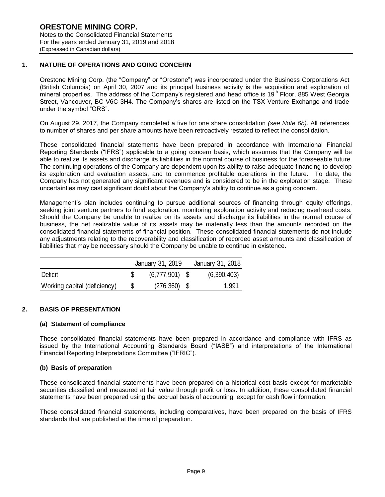### **1. NATURE OF OPERATIONS AND GOING CONCERN**

Orestone Mining Corp. (the "Company" or "Orestone") was incorporated under the Business Corporations Act (British Columbia) on April 30, 2007 and its principal business activity is the acquisition and exploration of mineral properties. The address of the Company's registered and head office is 19<sup>th</sup> Floor, 885 West Georgia Street, Vancouver, BC V6C 3H4. The Company's shares are listed on the TSX Venture Exchange and trade under the symbol "ORS".

On August 29, 2017, the Company completed a five for one share consolidation *(see Note 6b)*. All references to number of shares and per share amounts have been retroactively restated to reflect the consolidation.

These consolidated financial statements have been prepared in accordance with International Financial Reporting Standards ("IFRS") applicable to a going concern basis, which assumes that the Company will be able to realize its assets and discharge its liabilities in the normal course of business for the foreseeable future. The continuing operations of the Company are dependent upon its ability to raise adequate financing to develop its exploration and evaluation assets, and to commence profitable operations in the future. To date, the Company has not generated any significant revenues and is considered to be in the exploration stage. These uncertainties may cast significant doubt about the Company's ability to continue as a going concern.

Management's plan includes continuing to pursue additional sources of financing through equity offerings, seeking joint venture partners to fund exploration, monitoring exploration activity and reducing overhead costs. Should the Company be unable to realize on its assets and discharge its liabilities in the normal course of business, the net realizable value of its assets may be materially less than the amounts recorded on the consolidated financial statements of financial position. These consolidated financial statements do not include any adjustments relating to the recoverability and classification of recorded asset amounts and classification of liabilities that may be necessary should the Company be unable to continue in existence.

|                              | January 31, 2019 | January 31, 2018 |
|------------------------------|------------------|------------------|
| Deficit                      | $(6,777,901)$ \$ | (6,390,403)      |
| Working capital (deficiency) | $(276, 360)$ \$  | 1,991            |

### **2. BASIS OF PRESENTATION**

### **(a) Statement of compliance**

These consolidated financial statements have been prepared in accordance and compliance with IFRS as issued by the International Accounting Standards Board ("IASB") and interpretations of the International Financial Reporting Interpretations Committee ("IFRIC").

### **(b) Basis of preparation**

These consolidated financial statements have been prepared on a historical cost basis except for marketable securities classified and measured at fair value through profit or loss. In addition, these consolidated financial statements have been prepared using the accrual basis of accounting, except for cash flow information.

These consolidated financial statements, including comparatives, have been prepared on the basis of IFRS standards that are published at the time of preparation.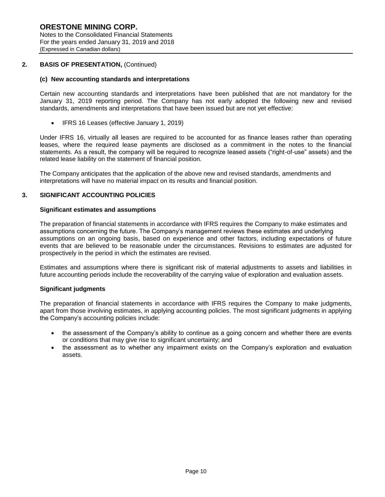### **2. BASIS OF PRESENTATION,** (Continued)

#### **(c) New accounting standards and interpretations**

Certain new accounting standards and interpretations have been published that are not mandatory for the January 31, 2019 reporting period. The Company has not early adopted the following new and revised standards, amendments and interpretations that have been issued but are not yet effective:

• IFRS 16 Leases (effective January 1, 2019)

Under IFRS 16, virtually all leases are required to be accounted for as finance leases rather than operating leases, where the required lease payments are disclosed as a commitment in the notes to the financial statements. As a result, the company will be required to recognize leased assets ("right-of-use" assets) and the related lease liability on the statement of financial position.

The Company anticipates that the application of the above new and revised standards, amendments and interpretations will have no material impact on its results and financial position.

### **3. SIGNIFICANT ACCOUNTING POLICIES**

#### **Significant estimates and assumptions**

The preparation of financial statements in accordance with IFRS requires the Company to make estimates and assumptions concerning the future. The Company's management reviews these estimates and underlying assumptions on an ongoing basis, based on experience and other factors, including expectations of future events that are believed to be reasonable under the circumstances. Revisions to estimates are adjusted for prospectively in the period in which the estimates are revised.

Estimates and assumptions where there is significant risk of material adjustments to assets and liabilities in future accounting periods include the recoverability of the carrying value of exploration and evaluation assets.

### **Significant judgments**

The preparation of financial statements in accordance with IFRS requires the Company to make judgments, apart from those involving estimates, in applying accounting policies. The most significant judgments in applying the Company's accounting policies include:

- the assessment of the Company's ability to continue as a going concern and whether there are events or conditions that may give rise to significant uncertainty; and
- the assessment as to whether any impairment exists on the Company's exploration and evaluation assets.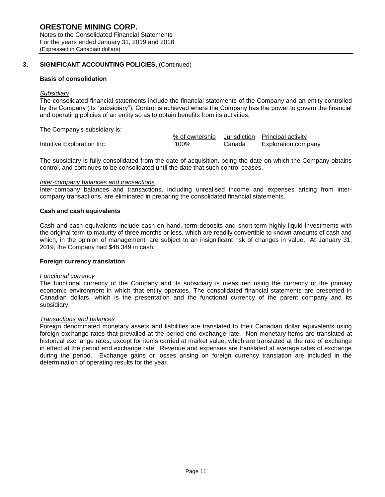# **3. SIGNIFICANT ACCOUNTING POLICIES,** (Continued)

# **Basis of consolidation**

## *Subsidiary*

The consolidated financial statements include the financial statements of the Company and an entity controlled by the Company (its "subsidiary"). Control is achieved where the Company has the power to govern the financial and operating policies of an entity so as to obtain benefits from its activities.

The Company's subsidiary is:

|                            | % of ownership Jurisdiction Principal activity |        |                     |
|----------------------------|------------------------------------------------|--------|---------------------|
| Intuitive Exploration Inc. | 100%                                           | Canada | Exploration company |

The subsidiary is fully consolidated from the date of acquisition, being the date on which the Company obtains control, and continues to be consolidated until the date that such control ceases.

### *Inter-company balances and transactions*

Inter-company balances and transactions, including unrealised income and expenses arising from intercompany transactions, are eliminated in preparing the consolidated financial statements.

## **Cash and cash equivalents**

Cash and cash equivalents include cash on hand, term deposits and short-term highly liquid investments with the original term to maturity of three months or less, which are readily convertible to known amounts of cash and which, in the opinion of management, are subject to an insignificant risk of changes in value. At January 31, 2019, the Company had \$48,349 in cash.

# **Foreign currency translation**

### *Functional currency*

The functional currency of the Company and its subsidiary is measured using the currency of the primary economic environment in which that entity operates. The consolidated financial statements are presented in Canadian dollars, which is the presentation and the functional currency of the parent company and its subsidiary.

### *Transactions and balances*

Foreign denominated monetary assets and liabilities are translated to their Canadian dollar equivalents using foreign exchange rates that prevailed at the period end exchange rate. Non-monetary items are translated at historical exchange rates, except for items carried at market value, which are translated at the rate of exchange in effect at the period end exchange rate. Revenue and expenses are translated at average rates of exchange during the period. Exchange gains or losses arising on foreign currency translation are included in the determination of operating results for the year.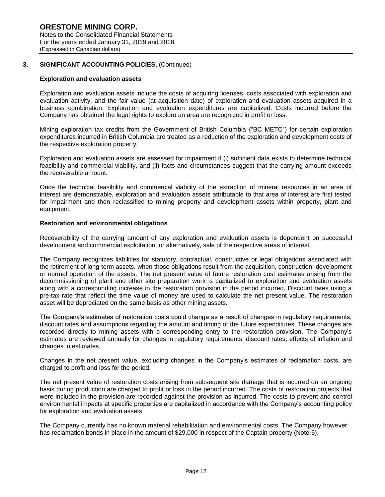### **3. SIGNIFICANT ACCOUNTING POLICIES,** (Continued)

#### **Exploration and evaluation assets**

Exploration and evaluation assets include the costs of acquiring licenses, costs associated with exploration and evaluation activity, and the fair value (at acquisition date) of exploration and evaluation assets acquired in a business combination. Exploration and evaluation expenditures are capitalized. Costs incurred before the Company has obtained the legal rights to explore an area are recognized in profit or loss.

Mining exploration tax credits from the Government of British Columbia ("BC METC") for certain exploration expenditures incurred in British Columbia are treated as a reduction of the exploration and development costs of the respective exploration property.

Exploration and evaluation assets are assessed for impairment if (i) sufficient data exists to determine technical feasibility and commercial viability, and (ii) facts and circumstances suggest that the carrying amount exceeds the recoverable amount.

Once the technical feasibility and commercial viability of the extraction of mineral resources in an area of interest are demonstrable, exploration and evaluation assets attributable to that area of interest are first tested for impairment and then reclassified to mining property and development assets within property, plant and equipment.

#### **Restoration and environmental obligations**

Recoverability of the carrying amount of any exploration and evaluation assets is dependent on successful development and commercial exploitation, or alternatively, sale of the respective areas of interest.

The Company recognizes liabilities for statutory, contractual, constructive or legal obligations associated with the retirement of long-term assets, when those obligations result from the acquisition, construction, development or normal operation of the assets. The net present value of future restoration cost estimates arising from the decommissioning of plant and other site preparation work is capitalized to exploration and evaluation assets along with a corresponding increase in the restoration provision in the period incurred. Discount rates using a pre-tax rate that reflect the time value of money are used to calculate the net present value. The restoration asset will be depreciated on the same basis as other mining assets.

The Company's estimates of restoration costs could change as a result of changes in regulatory requirements, discount rates and assumptions regarding the amount and timing of the future expenditures. These changes are recorded directly to mining assets with a corresponding entry to the restoration provision. The Company's estimates are reviewed annually for changes in regulatory requirements, discount rates, effects of inflation and changes in estimates.

Changes in the net present value, excluding changes in the Company's estimates of reclamation costs, are charged to profit and loss for the period.

The net present value of restoration costs arising from subsequent site damage that is incurred on an ongoing basis during production are charged to profit or loss in the period incurred. The costs of restoration projects that were included in the provision are recorded against the provision as incurred. The costs to prevent and control environmental impacts at specific properties are capitalized in accordance with the Company's accounting policy for exploration and evaluation assets

The Company currently has no known material rehabilitation and environmental costs. The Company however has reclamation bonds in place in the amount of \$29,000 in respect of the Captain property (Note 5).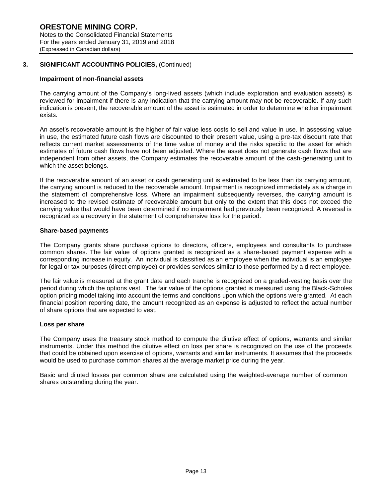# **3. SIGNIFICANT ACCOUNTING POLICIES,** (Continued)

## **Impairment of non-financial assets**

The carrying amount of the Company's long-lived assets (which include exploration and evaluation assets) is reviewed for impairment if there is any indication that the carrying amount may not be recoverable. If any such indication is present, the recoverable amount of the asset is estimated in order to determine whether impairment exists.

An asset's recoverable amount is the higher of fair value less costs to sell and value in use. In assessing value in use, the estimated future cash flows are discounted to their present value, using a pre-tax discount rate that reflects current market assessments of the time value of money and the risks specific to the asset for which estimates of future cash flows have not been adjusted. Where the asset does not generate cash flows that are independent from other assets, the Company estimates the recoverable amount of the cash-generating unit to which the asset belongs.

If the recoverable amount of an asset or cash generating unit is estimated to be less than its carrying amount, the carrying amount is reduced to the recoverable amount. Impairment is recognized immediately as a charge in the statement of comprehensive loss. Where an impairment subsequently reverses, the carrying amount is increased to the revised estimate of recoverable amount but only to the extent that this does not exceed the carrying value that would have been determined if no impairment had previously been recognized. A reversal is recognized as a recovery in the statement of comprehensive loss for the period.

## **Share-based payments**

The Company grants share purchase options to directors, officers, employees and consultants to purchase common shares. The fair value of options granted is recognized as a share-based payment expense with a corresponding increase in equity. An individual is classified as an employee when the individual is an employee for legal or tax purposes (direct employee) or provides services similar to those performed by a direct employee.

The fair value is measured at the grant date and each tranche is recognized on a graded-vesting basis over the period during which the options vest. The fair value of the options granted is measured using the Black-Scholes option pricing model taking into account the terms and conditions upon which the options were granted. At each financial position reporting date, the amount recognized as an expense is adjusted to reflect the actual number of share options that are expected to vest.

# **Loss per share**

The Company uses the treasury stock method to compute the dilutive effect of options, warrants and similar instruments. Under this method the dilutive effect on loss per share is recognized on the use of the proceeds that could be obtained upon exercise of options, warrants and similar instruments. It assumes that the proceeds would be used to purchase common shares at the average market price during the year.

Basic and diluted losses per common share are calculated using the weighted-average number of common shares outstanding during the year.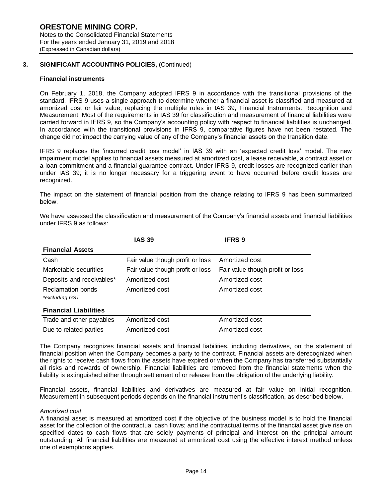### **3. SIGNIFICANT ACCOUNTING POLICIES,** (Continued)

#### **Financial instruments**

On February 1, 2018, the Company adopted IFRS 9 in accordance with the transitional provisions of the standard. IFRS 9 uses a single approach to determine whether a financial asset is classified and measured at amortized cost or fair value, replacing the multiple rules in IAS 39, Financial Instruments: Recognition and Measurement. Most of the requirements in IAS 39 for classification and measurement of financial liabilities were carried forward in IFRS 9, so the Company's accounting policy with respect to financial liabilities is unchanged. In accordance with the transitional provisions in IFRS 9, comparative figures have not been restated. The change did not impact the carrying value of any of the Company's financial assets on the transition date.

IFRS 9 replaces the 'incurred credit loss model' in IAS 39 with an 'expected credit loss' model. The new impairment model applies to financial assets measured at amortized cost, a lease receivable, a contract asset or a loan commitment and a financial guarantee contract. Under IFRS 9, credit losses are recognized earlier than under IAS 39; it is no longer necessary for a triggering event to have occurred before credit losses are recognized.

The impact on the statement of financial position from the change relating to IFRS 9 has been summarized below.

We have assessed the classification and measurement of the Company's financial assets and financial liabilities under IFRS 9 as follows:

|                              | <b>IAS 39</b>                    | <b>IFRS 9</b>                    |  |  |  |
|------------------------------|----------------------------------|----------------------------------|--|--|--|
| <b>Financial Assets</b>      |                                  |                                  |  |  |  |
| Cash                         | Fair value though profit or loss | Amortized cost                   |  |  |  |
| Marketable securities        | Fair value though profit or loss | Fair value though profit or loss |  |  |  |
| Deposits and receivables*    | Amortized cost                   | Amortized cost                   |  |  |  |
| Reclamation bonds            | Amortized cost                   | Amortized cost                   |  |  |  |
| *excluding GST               |                                  |                                  |  |  |  |
| <b>Financial Liabilities</b> |                                  |                                  |  |  |  |
| Trade and other payables     | Amortized cost                   | Amortized cost                   |  |  |  |
| Due to related parties       | Amortized cost                   | Amortized cost                   |  |  |  |

The Company recognizes financial assets and financial liabilities, including derivatives, on the statement of financial position when the Company becomes a party to the contract. Financial assets are derecognized when the rights to receive cash flows from the assets have expired or when the Company has transferred substantially all risks and rewards of ownership. Financial liabilities are removed from the financial statements when the liability is extinguished either through settlement of or release from the obligation of the underlying liability.

Financial assets, financial liabilities and derivatives are measured at fair value on initial recognition. Measurement in subsequent periods depends on the financial instrument's classification, as described below.

#### *Amortized cost*

A financial asset is measured at amortized cost if the objective of the business model is to hold the financial asset for the collection of the contractual cash flows; and the contractual terms of the financial asset give rise on specified dates to cash flows that are solely payments of principal and interest on the principal amount outstanding. All financial liabilities are measured at amortized cost using the effective interest method unless one of exemptions applies.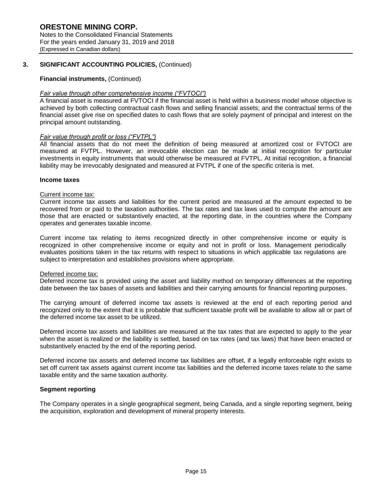## **3. SIGNIFICANT ACCOUNTING POLICIES,** (Continued)

### **Financial instruments,** (Continued)

## *Fair value through other comprehensive income ("FVTOCI")*

A financial asset is measured at FVTOCI if the financial asset is held within a business model whose objective is achieved by both collecting contractual cash flows and selling financial assets; and the contractual terms of the financial asset give rise on specified dates to cash flows that are solely payment of principal and interest on the principal amount outstanding.

## *Fair value through profit or loss ("FVTPL")*

All financial assets that do not meet the definition of being measured at amortized cost or FVTOCI are measured at FVTPL. However, an irrevocable election can be made at initial recognition for particular investments in equity instruments that would otherwise be measured at FVTPL. At initial recognition, a financial liability may be irrevocably designated and measured at FVTPL if one of the specific criteria is met.

### **Income taxes**

### Current income tax:

Current income tax assets and liabilities for the current period are measured at the amount expected to be recovered from or paid to the taxation authorities. The tax rates and tax laws used to compute the amount are those that are enacted or substantively enacted, at the reporting date, in the countries where the Company operates and generates taxable income.

Current income tax relating to items recognized directly in other comprehensive income or equity is recognized in other comprehensive income or equity and not in profit or loss. Management periodically evaluates positions taken in the tax returns with respect to situations in which applicable tax regulations are subject to interpretation and establishes provisions where appropriate.

### Deferred income tax:

Deferred income tax is provided using the asset and liability method on temporary differences at the reporting date between the tax bases of assets and liabilities and their carrying amounts for financial reporting purposes.

The carrying amount of deferred income tax assets is reviewed at the end of each reporting period and recognized only to the extent that it is probable that sufficient taxable profit will be available to allow all or part of the deferred income tax asset to be utilized.

Deferred income tax assets and liabilities are measured at the tax rates that are expected to apply to the year when the asset is realized or the liability is settled, based on tax rates (and tax laws) that have been enacted or substantively enacted by the end of the reporting period.

Deferred income tax assets and deferred income tax liabilities are offset, if a legally enforceable right exists to set off current tax assets against current income tax liabilities and the deferred income taxes relate to the same taxable entity and the same taxation authority.

### **Segment reporting**

The Company operates in a single geographical segment, being Canada, and a single reporting segment, being the acquisition, exploration and development of mineral property interests.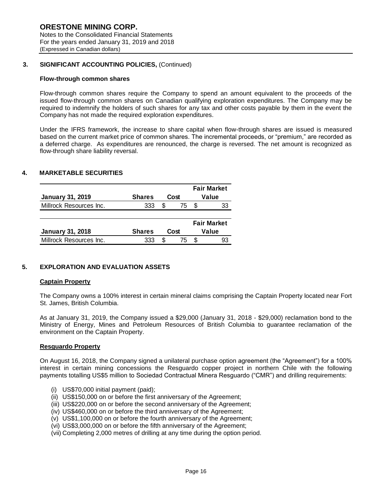# (Expressed in Canadian dollars)

#### **3. SIGNIFICANT ACCOUNTING POLICIES,** (Continued)

#### **Flow-through common shares**

Flow-through common shares require the Company to spend an amount equivalent to the proceeds of the issued flow-through common shares on Canadian qualifying exploration expenditures. The Company may be required to indemnify the holders of such shares for any tax and other costs payable by them in the event the Company has not made the required exploration expenditures.

Under the IFRS framework, the increase to share capital when flow-through shares are issued is measured based on the current market price of common shares. The incremental proceeds, or "premium," are recorded as a deferred charge. As expenditures are renounced, the charge is reversed. The net amount is recognized as flow-through share liability reversal.

#### **4. MARKETABLE SECURITIES**

|                         |               |      |    |   | <b>Fair Market</b> |
|-------------------------|---------------|------|----|---|--------------------|
| <b>January 31, 2019</b> | <b>Shares</b> | Cost |    |   | Value              |
| Millrock Resources Inc. | 333           |      | 75 | S | 33                 |
|                         |               |      |    |   |                    |
|                         |               |      |    |   | <b>Fair Market</b> |
| <b>January 31, 2018</b> | <b>Shares</b> | Cost |    |   | Value              |
| Millrock Resources Inc. | 333           |      | 75 |   |                    |

### **5. EXPLORATION AND EVALUATION ASSETS**

#### **Captain Property**

The Company owns a 100% interest in certain mineral claims comprising the Captain Property located near Fort St. James, British Columbia.

As at January 31, 2019, the Company issued a \$29,000 (January 31, 2018 - \$29,000) reclamation bond to the Ministry of Energy, Mines and Petroleum Resources of British Columbia to guarantee reclamation of the environment on the Captain Property.

#### **Resguardo Property**

On August 16, 2018, the Company signed a unilateral purchase option agreement (the "Agreement") for a 100% interest in certain mining concessions the Resguardo copper project in northern Chile with the following payments totalling US\$5 million to Sociedad Contractual Minera Resguardo ("CMR") and drilling requirements:

- (i) US\$70,000 initial payment (paid);
- (ii) US\$150,000 on or before the first anniversary of the Agreement;
- (iii) US\$220,000 on or before the second anniversary of the Agreement;
- (iv) US\$460,000 on or before the third anniversary of the Agreement;
- (v) US\$1,100,000 on or before the fourth anniversary of the Agreement;
- (vi) US\$3,000,000 on or before the fifth anniversary of the Agreement;
- (vii) Completing 2,000 metres of drilling at any time during the option period.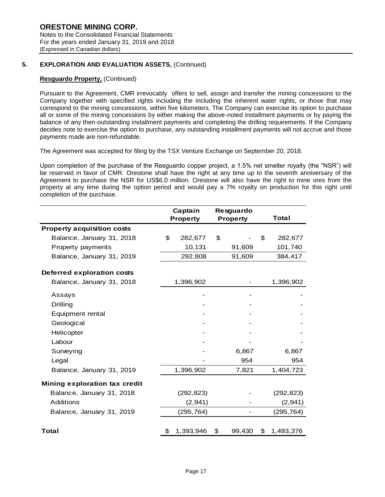#### **5. EXPLORATION AND EVALUATION ASSETS,** (Continued)

### **Resguardo Property,** (Continued)

Pursuant to the Agreement, CMR irrevocably offers to sell, assign and transfer the mining concessions to the Company together with specified rights including the including the inherent water rights, or those that may correspond to the mining concessions, within five kilometers. The Company can exercise its option to purchase all or some of the mining concessions by either making the above-noted installment payments or by paying the balance of any then-outstanding installment payments and completing the drilling requirements. If the Company decides note to exercise the option to purchase, any outstanding installment payments will not accrue and those payments made are non-refundable.

The Agreement was accepted for filing by the TSX Venture Exchange on September 20, 2018.

Upon completion of the purchase of the Resguardo copper project, a 1.5% net smelter royalty (the "NSR") will be reserved in favor of CMR. Orestone shall have the right at any time up to the seventh anniversary of the Agreement to purchase the NSR for US\$6.0 million. Orestone will also have the right to mine ores from the property at any time during the option period and would pay a 7% royalty on production for this right until completion of the purchase.

|                                   | Captain<br><b>Property</b> |            | Resguardo<br><b>Property</b> |        | <b>Total</b>    |
|-----------------------------------|----------------------------|------------|------------------------------|--------|-----------------|
| <b>Property acquisition costs</b> |                            |            |                              |        |                 |
| Balance, January 31, 2018         | \$                         | 282,677    | \$                           |        | \$<br>282,677   |
| Property payments                 |                            | 10,131     |                              | 91,609 | 101,740         |
| Balance, January 31, 2019         |                            | 292,808    |                              | 91,609 | 384,417         |
| <b>Deferred exploration costs</b> |                            |            |                              |        |                 |
| Balance, January 31, 2018         |                            | 1,396,902  |                              |        | 1,396,902       |
| Assays                            |                            |            |                              |        |                 |
| Drilling                          |                            |            |                              |        |                 |
| Equipment rental                  |                            |            |                              |        |                 |
| Geological                        |                            |            |                              |        |                 |
| Helicopter                        |                            |            |                              |        |                 |
| Labour                            |                            |            |                              |        |                 |
| Surveying                         |                            |            |                              | 6,867  | 6,867           |
| Legal                             |                            |            |                              | 954    | 954             |
| Balance, January 31, 2019         |                            | 1,396,902  |                              | 7,821  | 1,404,723       |
| Mining exploration tax credit     |                            |            |                              |        |                 |
| Balance, January 31, 2018         |                            | (292, 823) |                              |        | (292, 823)      |
| <b>Additions</b>                  |                            | (2,941)    |                              |        | (2,941)         |
| Balance, January 31, 2019         |                            | (295, 764) |                              |        | (295, 764)      |
| Total                             | \$                         | 1,393,946  | \$                           | 99,430 | \$<br>1,493,376 |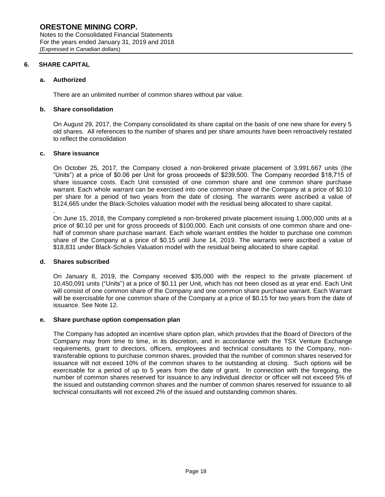# **6. SHARE CAPITAL**

## **a. Authorized**

There are an unlimited number of common shares without par value.

### **b. Share consolidation**

On August 29, 2017, the Company consolidated its share capital on the basis of one new share for every 5 old shares. All references to the number of shares and per share amounts have been retroactively restated to reflect the consolidation

## **c. Share issuance**

.

On October 25, 2017, the Company closed a non-brokered private placement of 3,991,667 units (the "Units") at a price of \$0.06 per Unit for gross proceeds of \$239,500. The Company recorded \$18,715 of share issuance costs. Each Unit consisted of one common share and one common share purchase warrant. Each whole warrant can be exercised into one common share of the Company at a price of \$0.10 per share for a period of two years from the date of closing. The warrants were ascribed a value of \$124,665 under the Black-Scholes valuation model with the residual being allocated to share capital.

On June 15, 2018, the Company completed a non-brokered private placement issuing 1,000,000 units at a price of \$0.10 per unit for gross proceeds of \$100,000. Each unit consists of one common share and onehalf of common share purchase warrant. Each whole warrant entitles the holder to purchase one common share of the Company at a price of \$0.15 until June 14, 2019. The warrants were ascribed a value of \$18,831 under Black-Scholes Valuation model with the residual being allocated to share capital.

### **d. Shares subscribed**

On January 8, 2019, the Company received \$35,000 with the respect to the private placement of 10,450,091 units ("Units") at a price of \$0.11 per Unit, which has not been closed as at year end. Each Unit will consist of one common share of the Company and one common share purchase warrant. Each Warrant will be exercisable for one common share of the Company at a price of \$0.15 for two years from the date of issuance. See Note 12.

### **e. Share purchase option compensation plan**

The Company has adopted an incentive share option plan, which provides that the Board of Directors of the Company may from time to time, in its discretion, and in accordance with the TSX Venture Exchange requirements, grant to directors, officers, employees and technical consultants to the Company, nontransferable options to purchase common shares, provided that the number of common shares reserved for issuance will not exceed 10% of the common shares to be outstanding at closing. Such options will be exercisable for a period of up to 5 years from the date of grant. In connection with the foregoing, the number of common shares reserved for issuance to any individual director or officer will not exceed 5% of the issued and outstanding common shares and the number of common shares reserved for issuance to all technical consultants will not exceed 2% of the issued and outstanding common shares.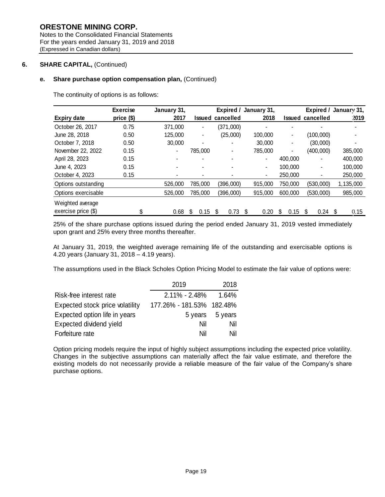# **ORESTONE MINING CORP.**

Notes to the Consolidated Financial Statements For the years ended January 31, 2019 and 2018 (Expressed in Canadian dollars)

# **6. SHARE CAPITAL,** (Continued)

## **e. Share purchase option compensation plan,** (Continued)

The continuity of options is as follows:

|                     | <b>Exercise</b> | January 31,                  |         |                         |   | Expired / January 31, |                |                         | Expired / January 31, |
|---------------------|-----------------|------------------------------|---------|-------------------------|---|-----------------------|----------------|-------------------------|-----------------------|
| <b>Expiry date</b>  | price (\$)      | 2017                         |         | <b>Issued cancelled</b> |   | 2018                  |                | <b>Issued cancelled</b> | 2019                  |
| October 26, 2017    | 0.75            | 371,000                      | -       | (371,000)               |   |                       |                |                         |                       |
| June 28, 2018       | 0.50            | 125.000                      | ۰       | (25,000)                |   | 100.000               | ٠              | (100,000)               |                       |
| October 7, 2018     | 0.50            | 30,000                       |         |                         |   | 30,000                | $\blacksquare$ | (30,000)                |                       |
| November 22, 2022   | 0.15            | $\qquad \qquad \blacksquare$ | 785,000 |                         |   | 785,000               | $\blacksquare$ | (400,000)               | 385,000               |
| April 28, 2023      | 0.15            |                              |         |                         |   |                       | 400,000        |                         | 400,000               |
| June 4, 2023        | 0.15            |                              |         |                         |   |                       | 100,000        | $\blacksquare$          | 100,000               |
| October 4, 2023     | 0.15            |                              |         |                         |   |                       | 250,000        |                         | 250,000               |
| Options outstanding |                 | 526,000                      | 785,000 | (396,000)               |   | 915,000               | 750,000        | (530,000)               | 1,135,000             |
| Options exercisable |                 | 526,000                      | 785,000 | (396,000)               |   | 915,000               | 600,000        | (530,000)               | 985,000               |
| Weighted average    |                 |                              |         |                         |   |                       |                |                         |                       |
| exercise price (\$) |                 | \$<br>0.68                   | 0.15    | S<br>0.73               | S | 0.20                  | \$.<br>0.15    | 0.24<br>S               | 0.15<br>S             |

25% of the share purchase options issued during the period ended January 31, 2019 vested immediately upon grant and 25% every three months thereafter.

At January 31, 2019, the weighted average remaining life of the outstanding and exercisable options is 4.20 years (January 31, 2018 – 4.19 years).

The assumptions used in the Black Scholes Option Pricing Model to estimate the fair value of options were:

|                                 | 2019                      | 2018    |
|---------------------------------|---------------------------|---------|
| Risk-free interest rate         | $2.11\% - 2.48\%$         | 1.64%   |
| Expected stock price volatility | 177.26% - 181.53% 182.48% |         |
| Expected option life in years   | 5 years                   | 5 years |
| Expected dividend yield         | Nil                       | Nil     |
| Forfeiture rate                 | Nil                       | Nil     |

Option pricing models require the input of highly subject assumptions including the expected price volatility. Changes in the subjective assumptions can materially affect the fair value estimate, and therefore the existing models do not necessarily provide a reliable measure of the fair value of the Company's share purchase options.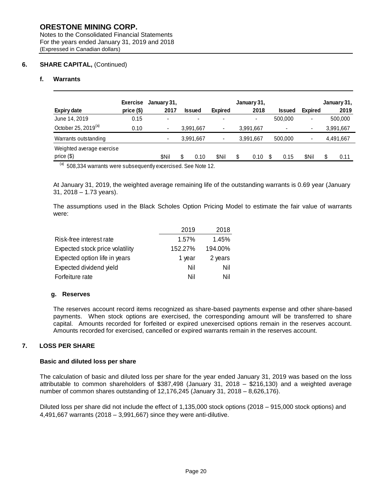# **6. SHARE CAPITAL,** (Continued)

# **f. Warrants**

| <b>Expiry date</b>                                    | <b>Exercise</b><br>price (\$) | January 31,<br>2017 | <b>Issued</b> | <b>Expired</b> | January 31,<br>2018 | <b>Issued</b> | <b>Expired</b>           | January 31,<br>2019 |
|-------------------------------------------------------|-------------------------------|---------------------|---------------|----------------|---------------------|---------------|--------------------------|---------------------|
| June 14, 2019                                         | 0.15                          | $\blacksquare$      |               | $\blacksquare$ | $\blacksquare$      | 500,000       | $\overline{\phantom{0}}$ | 500,000             |
| October 25, 2019 $(a)$                                | 0.10                          | $\blacksquare$      | 3,991,667     |                | 3,991,667           |               | ٠                        | 3,991,667           |
| Warrants outstanding                                  |                               | $\blacksquare$      | 3,991,667     | $\blacksquare$ | 3,991,667           | 500,000       | ٠                        | 4,491,667           |
| Weighted average exercise<br>price $(\$)$<br>$\cdots$ |                               | \$Nil               | \$<br>0.10    | \$Nil          | S<br>0.10           | 0.15          | <b>SNil</b>              | 0.11                |

(a) 508,334 warrants were subsequently excercised. See Note 12.

At January 31, 2019, the weighted average remaining life of the outstanding warrants is 0.69 year (January 31, 2018 – 1.73 years).

The assumptions used in the Black Scholes Option Pricing Model to estimate the fair value of warrants were:

|                                 | 2019    | 2018    |
|---------------------------------|---------|---------|
| Risk-free interest rate         | 1.57%   | 1.45%   |
| Expected stock price volatility | 152.27% | 194.00% |
| Expected option life in years   | 1 year  | 2 years |
| Expected dividend yield         | Nil     | Nil     |
| Forfeiture rate                 | Nil     | Nil     |

# **g. Reserves**

The reserves account record items recognized as share-based payments expense and other share-based payments. When stock options are exercised, the corresponding amount will be transferred to share capital. Amounts recorded for forfeited or expired unexercised options remain in the reserves account. Amounts recorded for exercised, cancelled or expired warrants remain in the reserves account.

# **7. LOSS PER SHARE**

### **Basic and diluted loss per share**

The calculation of basic and diluted loss per share for the year ended January 31, 2019 was based on the loss attributable to common shareholders of \$387,498 (January 31, 2018 – \$216,130) and a weighted average number of common shares outstanding of 12,176,245 (January 31, 2018 – 8,626,176).

Diluted loss per share did not include the effect of 1,135,000 stock options (2018 – 915,000 stock options) and 4,491,667 warrants (2018 – 3,991,667) since they were anti-dilutive.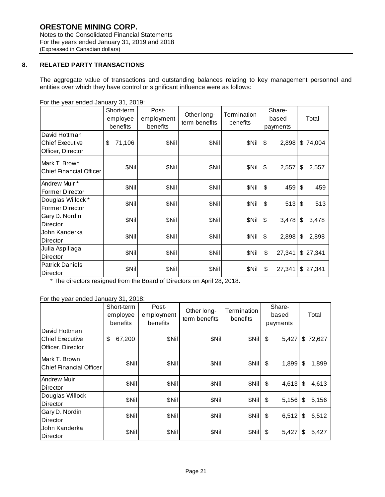# **ORESTONE MINING CORP.**

Notes to the Consolidated Financial Statements For the years ended January 31, 2019 and 2018 (Expressed in Canadian dollars)

# **8. RELATED PARTY TRANSACTIONS**

The aggregate value of transactions and outstanding balances relating to key management personnel and entities over which they have control or significant influence were as follows:

|                                                              | --------<br>Short-term<br>employee<br>benefits | Post-<br>employment<br>benefits | Other long-<br>term benefits | Termination<br>benefits | Share-<br>based<br>payments  | Total       |
|--------------------------------------------------------------|------------------------------------------------|---------------------------------|------------------------------|-------------------------|------------------------------|-------------|
| David Hottman<br><b>Chief Executive</b><br>Officer, Director | \$<br>71,106                                   | \$Nil                           | \$Nil                        | \$Nil                   | \$<br>2,898                  | \$74,004    |
| Mark T. Brown<br><b>Chief Financial Officer</b>              | \$Nil                                          | \$Nil                           | \$Nil                        | \$Nil                   | \$<br>2,557                  | \$<br>2,557 |
| Andrew Muir *<br>Former Director                             | \$Nil                                          | \$Nil                           | \$Nil                        | \$Nil                   | $\boldsymbol{\theta}$<br>459 | \$<br>459   |
| Douglas Willock *<br><b>Former Director</b>                  | \$Nil                                          | \$Nil                           | \$Nil                        | \$Nil                   | \$<br>513                    | 513<br>\$   |
| Gary D. Nordin<br>Director                                   | \$Nil                                          | \$Nil                           | \$Nil                        | \$Nil                   | \$<br>3,478                  | \$<br>3,478 |
| John Kanderka<br>Director                                    | \$Nil                                          | \$Nil                           | \$Nil                        | \$Nil                   | \$<br>2,898                  | 2,898<br>\$ |
| Julia Aspillaga<br>Director                                  | \$Nil                                          | \$Nil                           | \$Nil                        | \$Nil                   | \$<br>27,341                 | \$27,341    |
| <b>Patrick Daniels</b><br>Director                           | \$Nil                                          | \$Nil                           | \$Nil                        | \$Nil                   | \$<br>27,341                 | \$27,341    |

For the year ended January 31, 2019:

\* The directors resigned from the Board of Directors on April 28, 2018.

## For the year ended January 31, 2018:

|                                                              | Short-term<br>employee<br>benefits | Post-<br>employment<br>benefits | Other long-<br>term benefits | Termination<br>benefits | Share-<br>based<br>payments | Total       |
|--------------------------------------------------------------|------------------------------------|---------------------------------|------------------------------|-------------------------|-----------------------------|-------------|
| David Hottman<br><b>Chief Executive</b><br>Officer, Director | \$<br>67,200                       | \$Nil                           | \$Nil                        | \$Nil                   | \$<br>5,427                 | \$72,627    |
| Mark T. Brown<br><b>Chief Financial Officer</b>              | \$Nil                              | \$Nil                           | \$Nil                        | \$Nil                   | \$<br>1,899                 | \$<br>1,899 |
| <b>Andrew Muir</b><br>Director                               | \$Nil                              | \$Nil                           | \$Nil                        | \$Nil \$                | 4,613                       | \$<br>4,613 |
| Douglas Willock<br>Director                                  | \$Nil                              | \$Nil                           | \$Nil                        | \$Nil                   | \$<br>5,156                 | \$<br>5,156 |
| Gary D. Nordin<br>Director                                   | \$Nil                              | \$Nil                           | \$Nil                        | \$Nil]                  | -\$<br>6,512                | \$<br>6,512 |
| John Kanderka<br>Director                                    | \$Nil                              | \$Nil                           | \$Nil                        | \$Nil]                  | \$<br>5,427                 | \$<br>5,427 |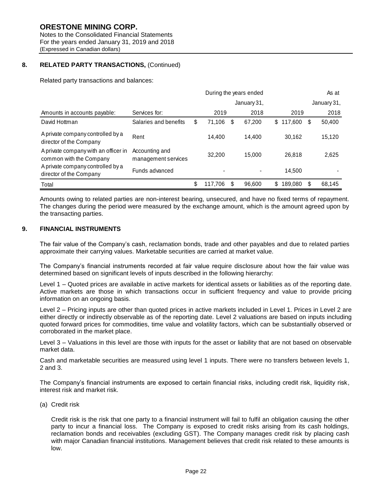(Expressed in Canadian dollars)

## **8. RELATED PARTY TRANSACTIONS,** (Continued)

Related party transactions and balances:

|                                                                 |                                       | During the years ended |         |    |                          |               | As at |             |
|-----------------------------------------------------------------|---------------------------------------|------------------------|---------|----|--------------------------|---------------|-------|-------------|
|                                                                 |                                       |                        |         |    | January 31,              |               |       | January 31, |
| Amounts in accounts payable:                                    | Services for:                         |                        | 2019    |    | 2018                     | 2019          |       | 2018        |
| David Hottman                                                   | Salaries and benefits                 | \$                     | 71,106  | S  | 67,200                   | 117,600<br>\$ | S     | 50,400      |
| A private company controlled by a<br>director of the Company    | Rent                                  |                        | 14.400  |    | 14.400                   | 30,162        |       | 15,120      |
| A private company with an officer in<br>common with the Company | Accounting and<br>management services |                        | 32,200  |    | 15.000                   | 26.818        |       | 2,625       |
| A private company controlled by a<br>director of the Company    | Funds advanced                        |                        |         |    | $\overline{\phantom{0}}$ | 14.500        |       |             |
| Total                                                           |                                       | \$                     | 117.706 | \$ | 96.600                   | 189.080<br>\$ | \$.   | 68,145      |

Amounts owing to related parties are non-interest bearing, unsecured, and have no fixed terms of repayment. The changes during the period were measured by the exchange amount, which is the amount agreed upon by the transacting parties.

### **9. FINANCIAL INSTRUMENTS**

The fair value of the Company's cash, reclamation bonds, trade and other payables and due to related parties approximate their carrying values. Marketable securities are carried at market value.

The Company's financial instruments recorded at fair value require disclosure about how the fair value was determined based on significant levels of inputs described in the following hierarchy:

Level 1 – Quoted prices are available in active markets for identical assets or liabilities as of the reporting date. Active markets are those in which transactions occur in sufficient frequency and value to provide pricing information on an ongoing basis.

Level 2 – Pricing inputs are other than quoted prices in active markets included in Level 1. Prices in Level 2 are either directly or indirectly observable as of the reporting date. Level 2 valuations are based on inputs including quoted forward prices for commodities, time value and volatility factors, which can be substantially observed or corroborated in the market place.

Level 3 – Valuations in this level are those with inputs for the asset or liability that are not based on observable market data.

Cash and marketable securities are measured using level 1 inputs. There were no transfers between levels 1, 2 and 3.

The Company's financial instruments are exposed to certain financial risks, including credit risk, liquidity risk, interest risk and market risk.

### (a) Credit risk

Credit risk is the risk that one party to a financial instrument will fail to fulfil an obligation causing the other party to incur a financial loss. The Company is exposed to credit risks arising from its cash holdings, reclamation bonds and receivables (excluding GST). The Company manages credit risk by placing cash with major Canadian financial institutions. Management believes that credit risk related to these amounts is low.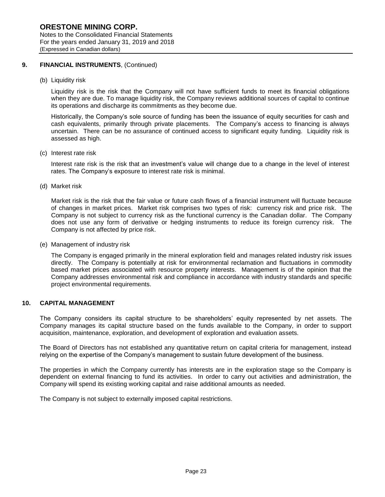For the years ended January 31, 2019 and 2018 (Expressed in Canadian dollars)

## **9. FINANCIAL INSTRUMENTS**, (Continued)

(b) Liquidity risk

Liquidity risk is the risk that the Company will not have sufficient funds to meet its financial obligations when they are due. To manage liquidity risk, the Company reviews additional sources of capital to continue its operations and discharge its commitments as they become due.

Historically, the Company's sole source of funding has been the issuance of equity securities for cash and cash equivalents, primarily through private placements. The Company's access to financing is always uncertain. There can be no assurance of continued access to significant equity funding. Liquidity risk is assessed as high.

(c) Interest rate risk

Interest rate risk is the risk that an investment's value will change due to a change in the level of interest rates. The Company's exposure to interest rate risk is minimal.

(d) Market risk

Market risk is the risk that the fair value or future cash flows of a financial instrument will fluctuate because of changes in market prices. Market risk comprises two types of risk: currency risk and price risk. The Company is not subject to currency risk as the functional currency is the Canadian dollar. The Company does not use any form of derivative or hedging instruments to reduce its foreign currency risk. The Company is not affected by price risk.

(e) Management of industry risk

The Company is engaged primarily in the mineral exploration field and manages related industry risk issues directly. The Company is potentially at risk for environmental reclamation and fluctuations in commodity based market prices associated with resource property interests. Management is of the opinion that the Company addresses environmental risk and compliance in accordance with industry standards and specific project environmental requirements.

# **10. CAPITAL MANAGEMENT**

The Company considers its capital structure to be shareholders' equity represented by net assets. The Company manages its capital structure based on the funds available to the Company, in order to support acquisition, maintenance, exploration, and development of exploration and evaluation assets.

The Board of Directors has not established any quantitative return on capital criteria for management, instead relying on the expertise of the Company's management to sustain future development of the business.

The properties in which the Company currently has interests are in the exploration stage so the Company is dependent on external financing to fund its activities. In order to carry out activities and administration, the Company will spend its existing working capital and raise additional amounts as needed.

The Company is not subject to externally imposed capital restrictions.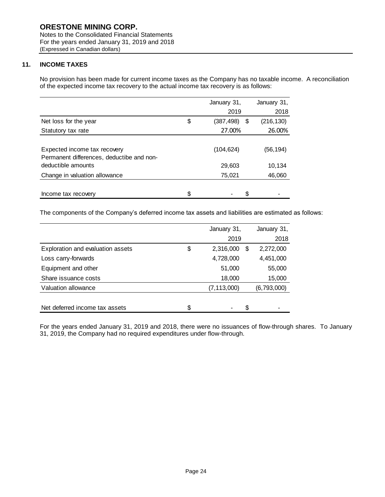# **ORESTONE MINING CORP.**

Notes to the Consolidated Financial Statements For the years ended January 31, 2019 and 2018 (Expressed in Canadian dollars)

## **11. INCOME TAXES**

No provision has been made for current income taxes as the Company has no taxable income. A reconciliation of the expected income tax recovery to the actual income tax recovery is as follows:

|                                                                                                 |    | January 31,          | January 31,        |
|-------------------------------------------------------------------------------------------------|----|----------------------|--------------------|
|                                                                                                 |    | 2019                 | 2018               |
| Net loss for the year                                                                           | \$ | (387, 498)<br>S      | (216, 130)         |
| Statutory tax rate                                                                              |    | 27.00%               | 26.00%             |
| Expected income tax recovery<br>Permanent differences, deductibe and non-<br>deductible amounts |    | (104, 624)<br>29,603 | (56,194)<br>10,134 |
| Change in valuation allowance                                                                   |    | 75,021               | 46,060             |
| Income tax recovery                                                                             | S  | S                    |                    |

The components of the Company's deferred income tax assets and liabilities are estimated as follows:

|                                   | January 31,          | January 31, |
|-----------------------------------|----------------------|-------------|
|                                   | 2019                 | 2018        |
| Exploration and evaluation assets | \$<br>2,316,000<br>S | 2,272,000   |
| Loss carry-forwards               | 4,728,000            | 4,451,000   |
| Equipment and other               | 51,000               | 55,000      |
| Share issuance costs              | 18,000               | 15,000      |
| Valuation allowance               | (7, 113, 000)        | (6,793,000) |
|                                   |                      |             |
| Net deferred income tax assets    | \$<br>S              |             |

For the years ended January 31, 2019 and 2018, there were no issuances of flow-through shares. To January 31, 2019, the Company had no required expenditures under flow-through.